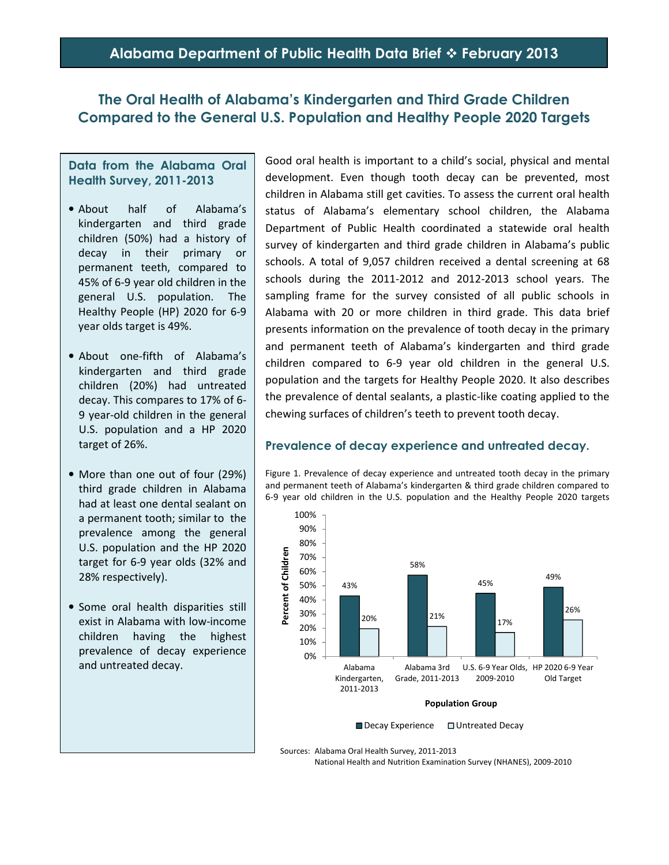# **Alabama Department of Public Health Data Brief February 2013**

# **The Oral Health of Alabama's Kindergarten and Third Grade Children Compared to the General U.S. Population and Healthy People 2020 Targets**

#### **Data from the Alabama Oral Health Survey, 2011-2013**

- About half of Alabama's kindergarten and third grade children (50%) had a history of decay in their primary or permanent teeth, compared to 45% of 6-9 year old children in the general U.S. population. The Healthy People (HP) 2020 for 6-9 year olds target is 49%.
- About one-fifth of Alabama's kindergarten and third grade children (20%) had untreated decay. This compares to 17% of 6- 9 year-old children in the general U.S. population and a HP 2020 target of 26%.
- More than one out of four (29%) third grade children in Alabama had at least one dental sealant on a permanent tooth; similar to the prevalence among the general U.S. population and the HP 2020 target for 6-9 year olds (32% and 28% respectively).
- Some oral health disparities still exist in Alabama with low-income children having the highest prevalence of decay experience and untreated decay.

Good oral health is important to a child's social, physical and mental development. Even though tooth decay can be prevented, most children in Alabama still get cavities. To assess the current oral health status of Alabama's elementary school children, the Alabama Department of Public Health coordinated a statewide oral health survey of kindergarten and third grade children in Alabama's public schools. A total of 9,057 children received a dental screening at 68 schools during the 2011-2012 and 2012-2013 school years. The sampling frame for the survey consisted of all public schools in Alabama with 20 or more children in third grade. This data brief presents information on the prevalence of tooth decay in the primary and permanent teeth of Alabama's kindergarten and third grade children compared to 6-9 year old children in the general U.S. population and the targets for Healthy People 2020. It also describes the prevalence of dental sealants, a plastic-like coating applied to the chewing surfaces of children's teeth to prevent tooth decay.

#### **Prevalence of decay experience and untreated decay.**

Figure 1. Prevalence of decay experience and untreated tooth decay in the primary and permanent teeth of Alabama's kindergarten & third grade children compared to 6-9 year old children in the U.S. population and the Healthy People 2020 targets



Decay Experience Untreated Decay

Sources: Alabama Oral Health Survey, 2011-2013

National Health and Nutrition Examination Survey (NHANES), 2009-2010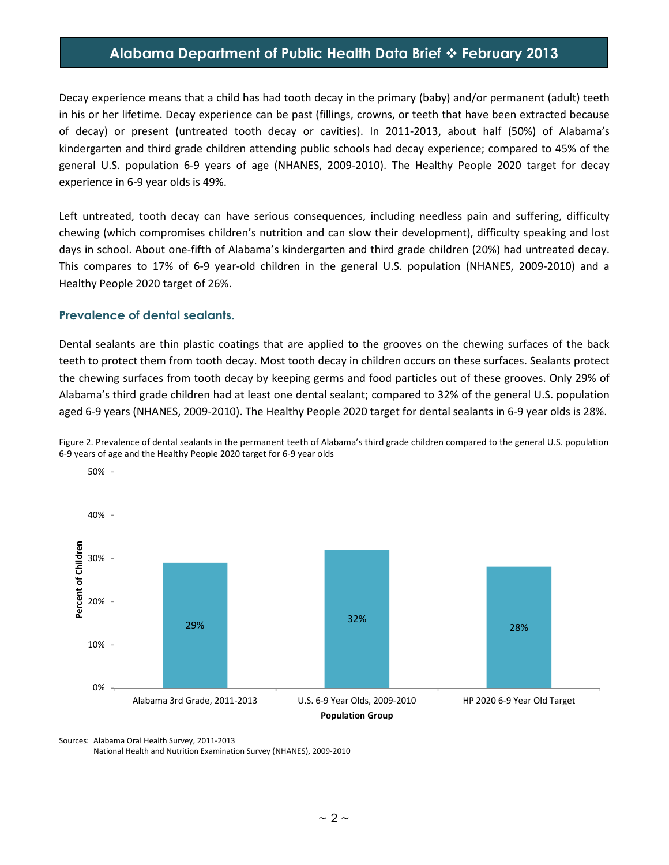# **Alabama Department of Public Health Data Brief February 2013**

Decay experience means that a child has had tooth decay in the primary (baby) and/or permanent (adult) teeth in his or her lifetime. Decay experience can be past (fillings, crowns, or teeth that have been extracted because of decay) or present (untreated tooth decay or cavities). In 2011-2013, about half (50%) of Alabama's kindergarten and third grade children attending public schools had decay experience; compared to 45% of the general U.S. population 6-9 years of age (NHANES, 2009-2010). The Healthy People 2020 target for decay experience in 6-9 year olds is 49%.

Left untreated, tooth decay can have serious consequences, including needless pain and suffering, difficulty chewing (which compromises children's nutrition and can slow their development), difficulty speaking and lost days in school. About one-fifth of Alabama's kindergarten and third grade children (20%) had untreated decay. This compares to 17% of 6-9 year-old children in the general U.S. population (NHANES, 2009-2010) and a Healthy People 2020 target of 26%.

#### **Prevalence of dental sealants.**

Dental sealants are thin plastic coatings that are applied to the grooves on the chewing surfaces of the back teeth to protect them from tooth decay. Most tooth decay in children occurs on these surfaces. Sealants protect the chewing surfaces from tooth decay by keeping germs and food particles out of these grooves. Only 29% of Alabama's third grade children had at least one dental sealant; compared to 32% of the general U.S. population aged 6-9 years (NHANES, 2009-2010). The Healthy People 2020 target for dental sealants in 6-9 year olds is 28%.



Figure 2. Prevalence of dental sealants in the permanent teeth of Alabama's third grade children compared to the general U.S. population 6-9 years of age and the Healthy People 2020 target for 6-9 year olds

Sources: Alabama Oral Health Survey, 2011-2013 National Health and Nutrition Examination Survey (NHANES), 2009-2010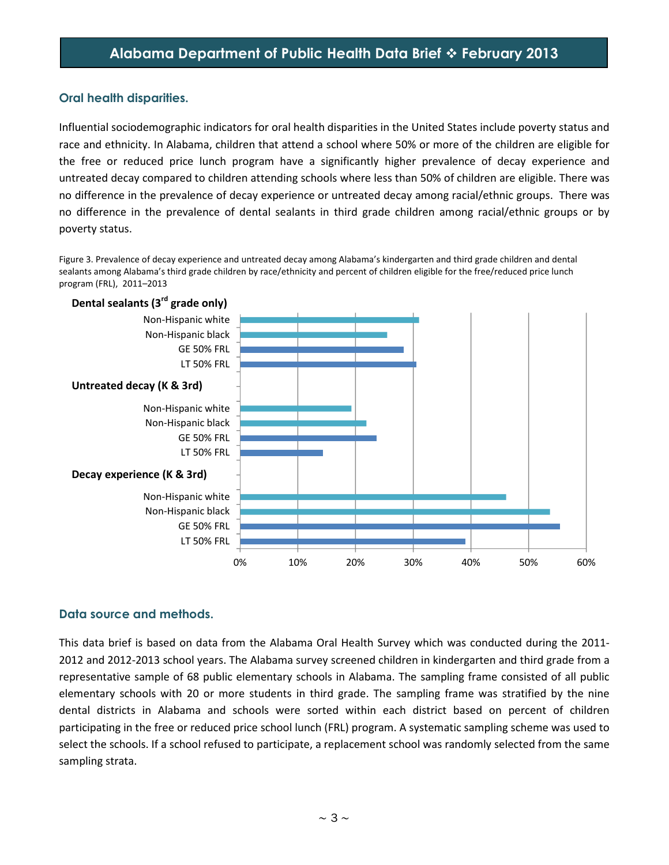## **Oral health disparities.**

Influential sociodemographic indicators for oral health disparities in the United States include poverty status and race and ethnicity. In Alabama, children that attend a school where 50% or more of the children are eligible for the free or reduced price lunch program have a significantly higher prevalence of decay experience and untreated decay compared to children attending schools where less than 50% of children are eligible. There was no difference in the prevalence of decay experience or untreated decay among racial/ethnic groups. There was no difference in the prevalence of dental sealants in third grade children among racial/ethnic groups or by poverty status.

Figure 3. Prevalence of decay experience and untreated decay among Alabama's kindergarten and third grade children and dental sealants among Alabama's third grade children by race/ethnicity and percent of children eligible for the free/reduced price lunch program (FRL), 2011–2013



## **Data source and methods.**

This data brief is based on data from the Alabama Oral Health Survey which was conducted during the 2011- 2012 and 2012-2013 school years. The Alabama survey screened children in kindergarten and third grade from a representative sample of 68 public elementary schools in Alabama. The sampling frame consisted of all public elementary schools with 20 or more students in third grade. The sampling frame was stratified by the nine dental districts in Alabama and schools were sorted within each district based on percent of children participating in the free or reduced price school lunch (FRL) program. A systematic sampling scheme was used to select the schools. If a school refused to participate, a replacement school was randomly selected from the same sampling strata.